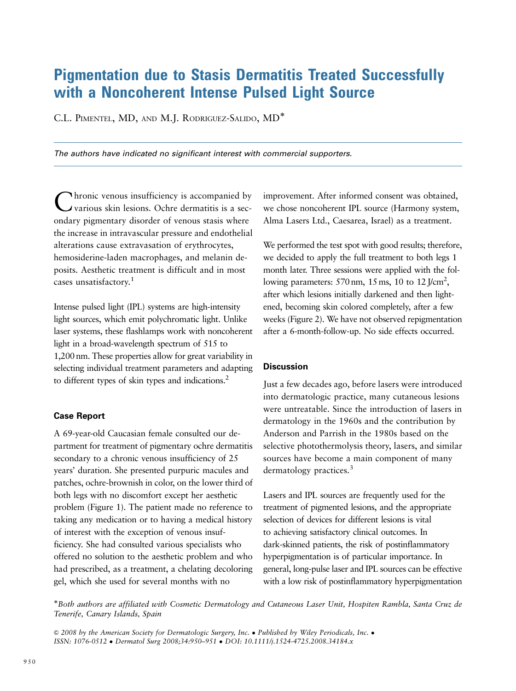## Pigmentation due to Stasis Dermatitis Treated Successfully with a Noncoherent Intense Pulsed Light Source

C.L. PIMENTEL, MD, AND M.J. RODRIGUEZ-SALIDO, MD

*The authors have indicated no significant interest with commercial supporters.*

Chronic venous insufficiency is accompanied by various skin lesions. Ochre dermatitis is a secondary pigmentary disorder of venous stasis where the increase in intravascular pressure and endothelial alterations cause extravasation of erythrocytes, hemosiderine-laden macrophages, and melanin deposits. Aesthetic treatment is difficult and in most cases unsatisfactory.<sup>1</sup>

Intense pulsed light (IPL) systems are high-intensity light sources, which emit polychromatic light. Unlike laser systems, these flashlamps work with noncoherent light in a broad-wavelength spectrum of 515 to 1,200 nm. These properties allow for great variability in selecting individual treatment parameters and adapting to different types of skin types and indications.<sup>2</sup>

## **Case Report**

A 69-year-old Caucasian female consulted our department for treatment of pigmentary ochre dermatitis secondary to a chronic venous insufficiency of 25 years' duration. She presented purpuric macules and patches, ochre-brownish in color, on the lower third of both legs with no discomfort except her aesthetic problem (Figure 1). The patient made no reference to taking any medication or to having a medical history of interest with the exception of venous insufficiency. She had consulted various specialists who offered no solution to the aesthetic problem and who had prescribed, as a treatment, a chelating decoloring gel, which she used for several months with no

improvement. After informed consent was obtained, we chose noncoherent IPL source (Harmony system, Alma Lasers Ltd., Caesarea, Israel) as a treatment.

We performed the test spot with good results; therefore, we decided to apply the full treatment to both legs 1 month later. Three sessions were applied with the following parameters:  $570 \text{ nm}$ ,  $15 \text{ ms}$ ,  $10 \text{ to } 12 \text{ J/cm}^2$ , after which lesions initially darkened and then lightened, becoming skin colored completely, after a few weeks (Figure 2). We have not observed repigmentation after a 6-month-follow-up. No side effects occurred.

## **Discussion**

Just a few decades ago, before lasers were introduced into dermatologic practice, many cutaneous lesions were untreatable. Since the introduction of lasers in dermatology in the 1960s and the contribution by Anderson and Parrish in the 1980s based on the selective photothermolysis theory, lasers, and similar sources have become a main component of many dermatology practices.<sup>3</sup>

Lasers and IPL sources are frequently used for the treatment of pigmented lesions, and the appropriate selection of devices for different lesions is vital to achieving satisfactory clinical outcomes. In dark-skinned patients, the risk of postinflammatory hyperpigmentation is of particular importance. In general, long-pulse laser and IPL sources can be effective with a low risk of postinflammatory hyperpigmentation

Both authors are affiliated with Cosmetic Dermatology and Cutaneous Laser Unit, Hospiten Rambla, Santa Cruz de Tenerife, Canary Islands, Spain

 $\odot$  2008 by the American Society for Dermatologic Surgery, Inc. . Published by Wiley Periodicals, Inc. . ISSN: 1076-0512 Dermatol Surg 2008;34:950–951 DOI: 10.1111/j.1524-4725.2008.34184.x